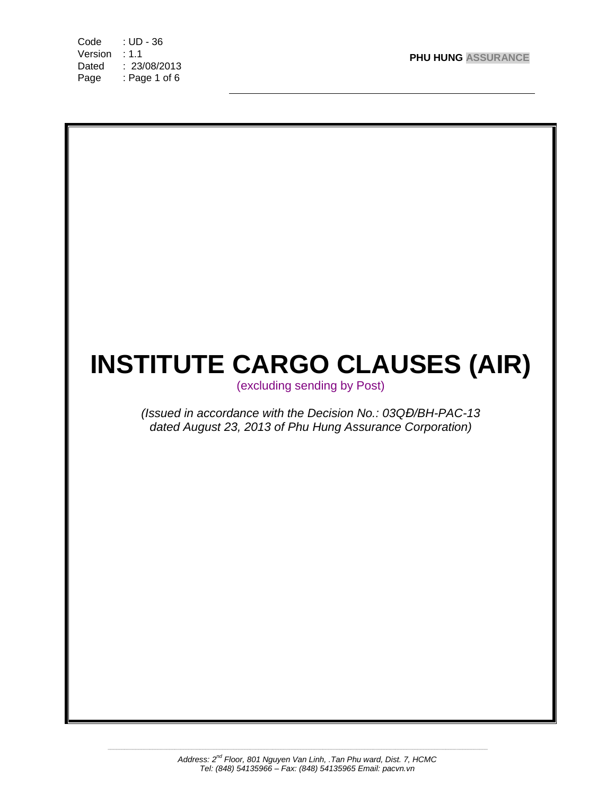Code : UD - 36 **PHU HUNG ASSURANCE** Version : 1.1 Dated : 23/08/2013 Page : Page 1 of 6



*\_\_\_\_\_\_\_\_\_\_\_\_\_\_\_\_\_\_\_\_\_\_\_\_\_\_\_\_\_\_\_\_\_\_\_\_\_\_\_\_\_\_\_\_\_\_\_\_\_\_\_\_\_\_\_\_\_\_\_\_\_\_\_\_\_\_\_\_\_\_\_\_\_\_\_\_\_\_\_\_\_\_\_\_\_\_\_\_\_\_\_\_\_\_\_\_\_\_\_\_\_\_\_\_\_\_\_\_\_\_\_\_\_\_\_\_\_\_\_\_\_\_\_\_\_\_\_\_\_\_\_\_\_\_\_\_*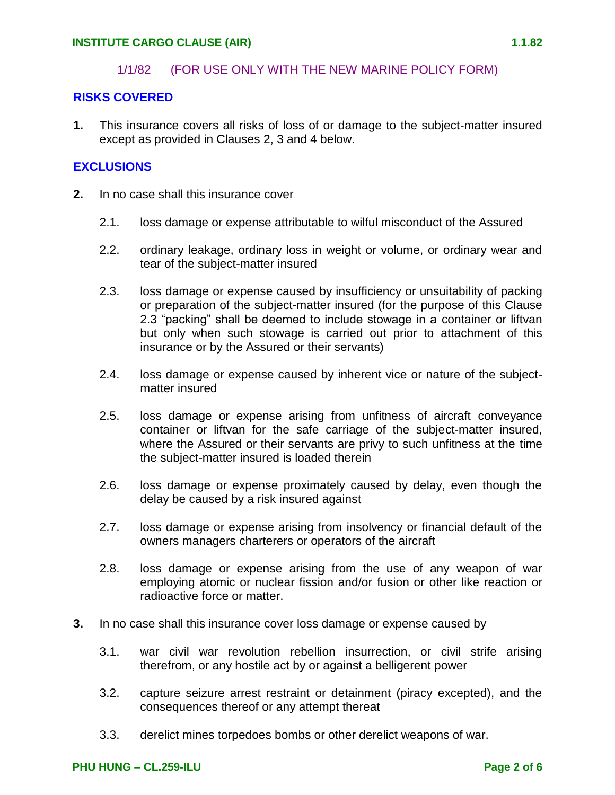### 1/1/82 (FOR USE ONLY WITH THE NEW MARINE POLICY FORM)

### **RISKS COVERED**

**1.** This insurance covers all risks of loss of or damage to the subject-matter insured except as provided in Clauses 2, 3 and 4 below.

## **EXCLUSIONS**

- **2.** In no case shall this insurance cover
	- 2.1. loss damage or expense attributable to wilful misconduct of the Assured
	- 2.2. ordinary leakage, ordinary loss in weight or volume, or ordinary wear and tear of the subject-matter insured
	- 2.3. loss damage or expense caused by insufficiency or unsuitability of packing or preparation of the subject-matter insured (for the purpose of this Clause 2.3 "packing" shall be deemed to include stowage in a container or liftvan but only when such stowage is carried out prior to attachment of this insurance or by the Assured or their servants)
	- 2.4. loss damage or expense caused by inherent vice or nature of the subjectmatter insured
	- 2.5. loss damage or expense arising from unfitness of aircraft conveyance container or liftvan for the safe carriage of the subject-matter insured, where the Assured or their servants are privy to such unfitness at the time the subject-matter insured is loaded therein
	- 2.6. loss damage or expense proximately caused by delay, even though the delay be caused by a risk insured against
	- 2.7. loss damage or expense arising from insolvency or financial default of the owners managers charterers or operators of the aircraft
	- 2.8. loss damage or expense arising from the use of any weapon of war employing atomic or nuclear fission and/or fusion or other like reaction or radioactive force or matter.
- **3.** In no case shall this insurance cover loss damage or expense caused by
	- 3.1. war civil war revolution rebellion insurrection, or civil strife arising therefrom, or any hostile act by or against a belligerent power
	- 3.2. capture seizure arrest restraint or detainment (piracy excepted), and the consequences thereof or any attempt thereat
	- 3.3. derelict mines torpedoes bombs or other derelict weapons of war.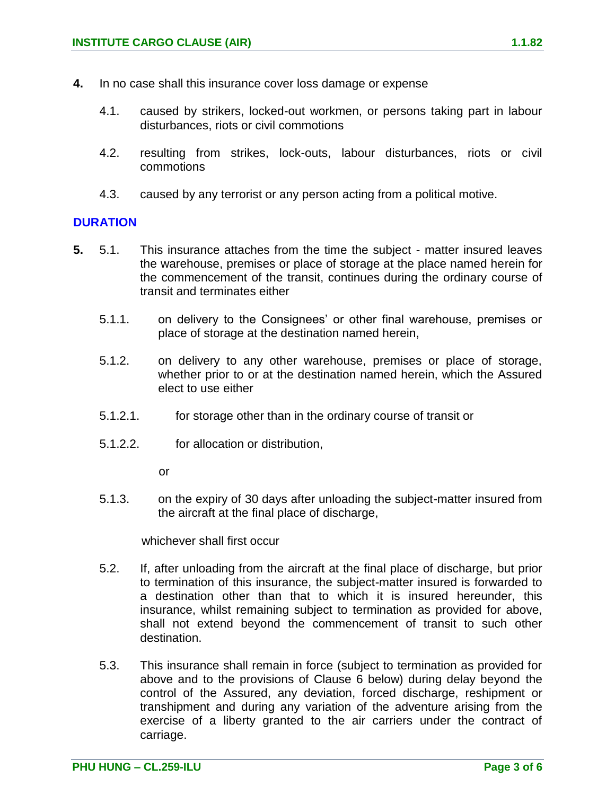- 4.1. caused by strikers, locked-out workmen, or persons taking part in labour disturbances, riots or civil commotions
- 4.2. resulting from strikes, lock-outs, labour disturbances, riots or civil commotions
- 4.3. caused by any terrorist or any person acting from a political motive.

## **DURATION**

- **5.** 5.1. This insurance attaches from the time the subject matter insured leaves the warehouse, premises or place of storage at the place named herein for the commencement of the transit, continues during the ordinary course of transit and terminates either
	- 5.1.1. on delivery to the Consignees' or other final warehouse, premises or place of storage at the destination named herein,
	- 5.1.2. on delivery to any other warehouse, premises or place of storage, whether prior to or at the destination named herein, which the Assured elect to use either
	- 5.1.2.1. for storage other than in the ordinary course of transit or
	- 5.1.2.2. for allocation or distribution,

or

5.1.3. on the expiry of 30 days after unloading the subject-matter insured from the aircraft at the final place of discharge,

whichever shall first occur

- 5.2. If, after unloading from the aircraft at the final place of discharge, but prior to termination of this insurance, the subject-matter insured is forwarded to a destination other than that to which it is insured hereunder, this insurance, whilst remaining subject to termination as provided for above, shall not extend beyond the commencement of transit to such other destination.
- 5.3. This insurance shall remain in force (subject to termination as provided for above and to the provisions of Clause 6 below) during delay beyond the control of the Assured, any deviation, forced discharge, reshipment or transhipment and during any variation of the adventure arising from the exercise of a liberty granted to the air carriers under the contract of carriage.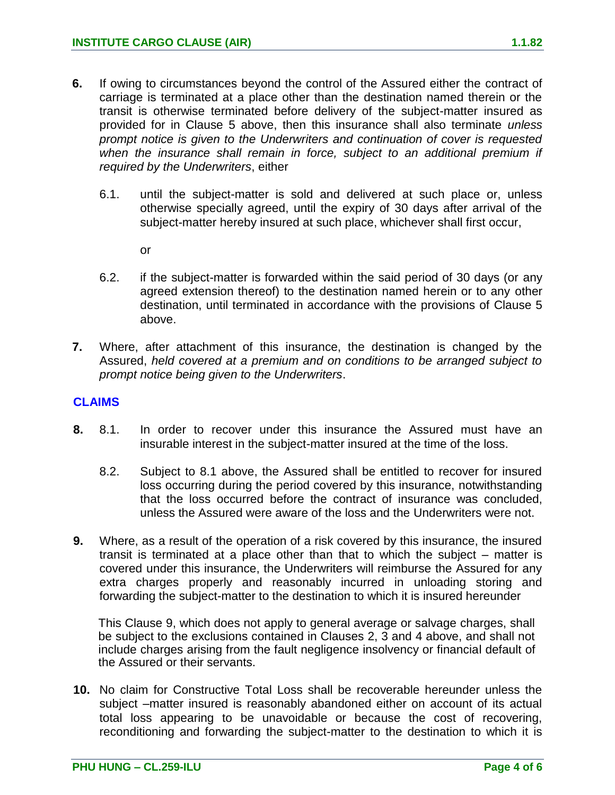- **6.** If owing to circumstances beyond the control of the Assured either the contract of carriage is terminated at a place other than the destination named therein or the transit is otherwise terminated before delivery of the subject-matter insured as provided for in Clause 5 above, then this insurance shall also terminate *unless prompt notice is given to the Underwriters and continuation of cover is requested when the insurance shall remain in force, subject to an additional premium if required by the Underwriters*, either
	- 6.1. until the subject-matter is sold and delivered at such place or, unless otherwise specially agreed, until the expiry of 30 days after arrival of the subject-matter hereby insured at such place, whichever shall first occur,
		- or
	- 6.2. if the subject-matter is forwarded within the said period of 30 days (or any agreed extension thereof) to the destination named herein or to any other destination, until terminated in accordance with the provisions of Clause 5 above.
- **7.** Where, after attachment of this insurance, the destination is changed by the Assured, *held covered at a premium and on conditions to be arranged subject to prompt notice being given to the Underwriters*.

### **CLAIMS**

- **8.** 8.1. In order to recover under this insurance the Assured must have an insurable interest in the subject-matter insured at the time of the loss.
	- 8.2. Subject to 8.1 above, the Assured shall be entitled to recover for insured loss occurring during the period covered by this insurance, notwithstanding that the loss occurred before the contract of insurance was concluded, unless the Assured were aware of the loss and the Underwriters were not.
- **9.** Where, as a result of the operation of a risk covered by this insurance, the insured transit is terminated at a place other than that to which the subject – matter is covered under this insurance, the Underwriters will reimburse the Assured for any extra charges properly and reasonably incurred in unloading storing and forwarding the subject-matter to the destination to which it is insured hereunder

This Clause 9, which does not apply to general average or salvage charges, shall be subject to the exclusions contained in Clauses 2, 3 and 4 above, and shall not include charges arising from the fault negligence insolvency or financial default of the Assured or their servants.

**10.** No claim for Constructive Total Loss shall be recoverable hereunder unless the subject –matter insured is reasonably abandoned either on account of its actual total loss appearing to be unavoidable or because the cost of recovering, reconditioning and forwarding the subject-matter to the destination to which it is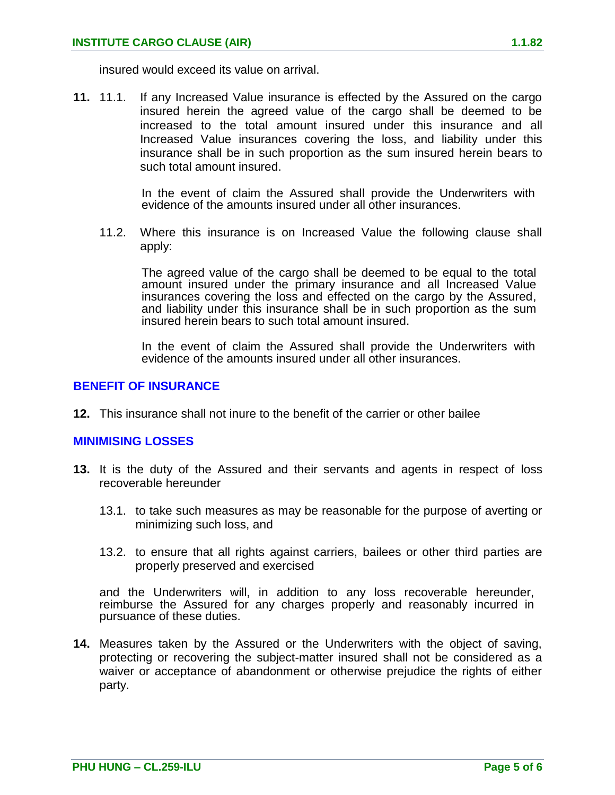insured would exceed its value on arrival.

**11.** 11.1. If any Increased Value insurance is effected by the Assured on the cargo insured herein the agreed value of the cargo shall be deemed to be increased to the total amount insured under this insurance and all Increased Value insurances covering the loss, and liability under this insurance shall be in such proportion as the sum insured herein bears to such total amount insured.

> In the event of claim the Assured shall provide the Underwriters with evidence of the amounts insured under all other insurances.

11.2. Where this insurance is on Increased Value the following clause shall apply:

The agreed value of the cargo shall be deemed to be equal to the total amount insured under the primary insurance and all Increased Value insurances covering the loss and effected on the cargo by the Assured, and liability under this insurance shall be in such proportion as the sum insured herein bears to such total amount insured.

In the event of claim the Assured shall provide the Underwriters with evidence of the amounts insured under all other insurances.

## **BENEFIT OF INSURANCE**

**12.** This insurance shall not inure to the benefit of the carrier or other bailee

## **MINIMISING LOSSES**

- **13.** It is the duty of the Assured and their servants and agents in respect of loss recoverable hereunder
	- 13.1. to take such measures as may be reasonable for the purpose of averting or minimizing such loss, and
	- 13.2. to ensure that all rights against carriers, bailees or other third parties are properly preserved and exercised

and the Underwriters will, in addition to any loss recoverable hereunder, reimburse the Assured for any charges properly and reasonably incurred in pursuance of these duties.

**14.** Measures taken by the Assured or the Underwriters with the object of saving, protecting or recovering the subject-matter insured shall not be considered as a waiver or acceptance of abandonment or otherwise prejudice the rights of either party.